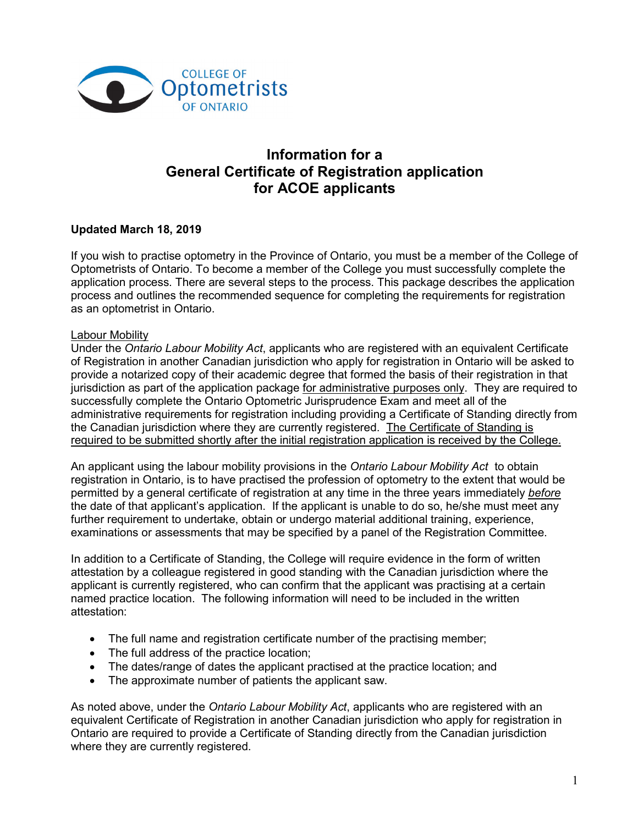

# **Information for a General Certificate of Registration application for ACOE applicants**

## **Updated March 18, 2019**

If you wish to practise optometry in the Province of Ontario, you must be a member of the College of Optometrists of Ontario. To become a member of the College you must successfully complete the application process. There are several steps to the process. This package describes the application process and outlines the recommended sequence for completing the requirements for registration as an optometrist in Ontario.

#### Labour Mobility

Under the *Ontario Labour Mobility Act*, applicants who are registered with an equivalent Certificate of Registration in another Canadian jurisdiction who apply for registration in Ontario will be asked to provide a notarized copy of their academic degree that formed the basis of their registration in that jurisdiction as part of the application package for administrative purposes only. They are required to successfully complete the Ontario Optometric Jurisprudence Exam and meet all of the administrative requirements for registration including providing a Certificate of Standing directly from the Canadian jurisdiction where they are currently registered. The Certificate of Standing is required to be submitted shortly after the initial registration application is received by the College.

An applicant using the labour mobility provisions in the *Ontario Labour Mobility Act* to obtain registration in Ontario, is to have practised the profession of optometry to the extent that would be permitted by a general certificate of registration at any time in the three years immediately *before* the date of that applicant's application. If the applicant is unable to do so, he/she must meet any further requirement to undertake, obtain or undergo material additional training, experience, examinations or assessments that may be specified by a panel of the Registration Committee.

In addition to a Certificate of Standing, the College will require evidence in the form of written attestation by a colleague registered in good standing with the Canadian jurisdiction where the applicant is currently registered, who can confirm that the applicant was practising at a certain named practice location. The following information will need to be included in the written attestation:

- The full name and registration certificate number of the practising member;
- The full address of the practice location;
- The dates/range of dates the applicant practised at the practice location; and
- The approximate number of patients the applicant saw.

As noted above, under the *Ontario Labour Mobility Act*, applicants who are registered with an equivalent Certificate of Registration in another Canadian jurisdiction who apply for registration in Ontario are required to provide a Certificate of Standing directly from the Canadian jurisdiction where they are currently registered.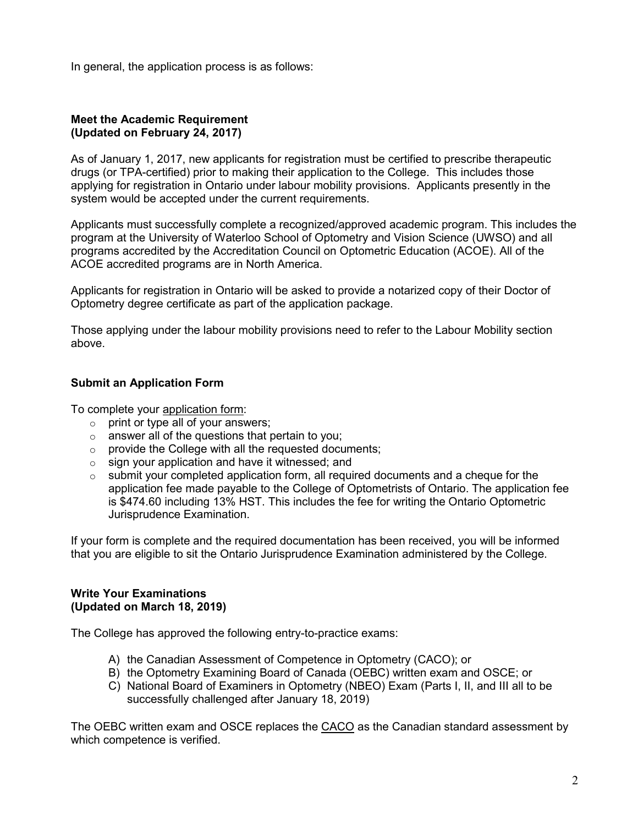In general, the application process is as follows:

#### **Meet the Academic Requirement (Updated on February 24, 2017)**

As of January 1, 2017, new applicants for registration must be certified to prescribe therapeutic drugs (or TPA-certified) prior to making their application to the College. This includes those applying for registration in Ontario under labour mobility provisions. Applicants presently in the system would be accepted under the current requirements.

Applicants must successfully complete a recognized/approved academic program. This includes the program at the University of Waterloo School of Optometry and Vision Science (UWSO) and all programs accredited by the Accreditation Council on Optometric Education (ACOE). All of the ACOE accredited programs are in North America.

Applicants for registration in Ontario will be asked to provide a notarized copy of their Doctor of Optometry degree certificate as part of the application package.

Those applying under the labour mobility provisions need to refer to the Labour Mobility section above.

## **Submit an Application Form**

To complete your application form:

- $\circ$  print or type all of your answers;
- $\circ$  answer all of the questions that pertain to you;
- $\circ$  provide the College with all the requested documents;
- o sign your application and have it witnessed; and
- $\circ$  submit your completed application form, all required documents and a cheque for the application fee made payable to the College of Optometrists of Ontario. The application fee is \$474.60 including 13% HST. This includes the fee for writing the Ontario Optometric Jurisprudence Examination.

If your form is complete and the required documentation has been received, you will be informed that you are eligible to sit the Ontario Jurisprudence Examination administered by the College.

#### **Write Your Examinations (Updated on March 18, 2019)**

The College has approved the following entry-to-practice exams:

- A) the Canadian Assessment of Competence in Optometry (CACO); or
- B) the Optometry Examining Board of Canada (OEBC) written exam and OSCE; or
- C) National Board of Examiners in Optometry (NBEO) Exam (Parts I, II, and III all to be successfully challenged after January 18, 2019)

The [OEBC](http://www.ceo-eco.org/index.php?option=com_content&view=article&id=182) written exam and OSCE replaces the [CACO](http://www.ceo-eco.org/index.php?option=com_content&view=article&id=260&Itemid=235&lang=en) as the Canadian standard assessment by which competence is verified.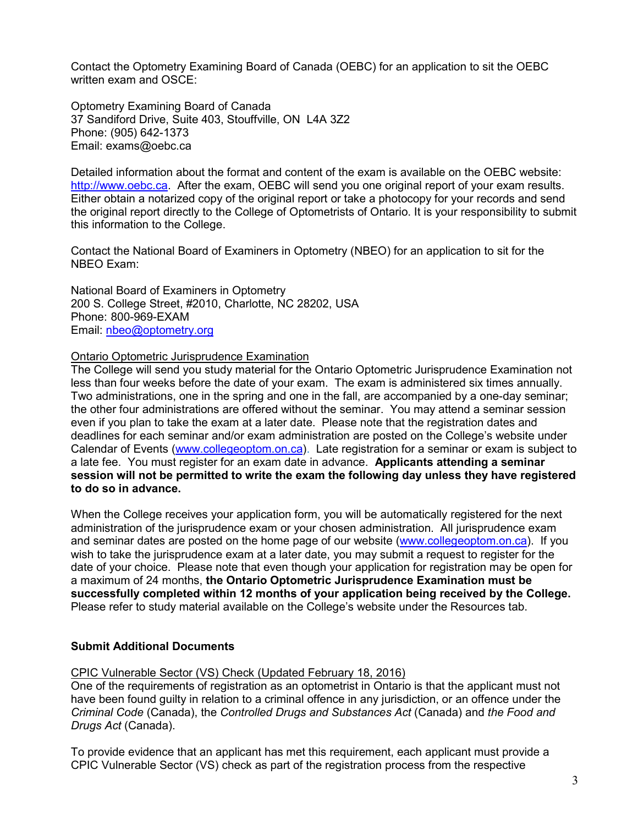Contact the Optometry [Examining Board of Canada \(OEBC\)](http://www.ceo-eco.org/index.php?option=com_content&view=article&id=182) for an application to sit the [OEBC](http://www.ceo-eco.org/index.php?option=com_content&view=article&id=182) written exam and OSCE:

Optometry Examining Board of Canada 37 Sandiford Drive, Suite 403, Stouffville, ON L4A 3Z2 Phone: (905) 642-1373 Email: exams@oebc.ca

Detailed information about the format and content of the exam is available on the OEBC website: [http://www.oebc.ca.](http://www.oebc.ca/) After the exam, OEBC will send you one original report of your exam results. Either obtain a notarized copy of the original report or take a photocopy for your records and send the original report directly to the College of Optometrists of Ontario. It is your responsibility to submit this information to the College.

Contact the National Board of Examiners in Optometry (NBEO) for an application to sit for the NBEO Exam:

National Board of Examiners in Optometry 200 S. College Street, #2010, Charlotte, NC 28202, USA Phone: 800-969-EXAM Email: [nbeo@optometry.org](mailto:nbeo@optometry.org)

#### Ontario Optometric Jurisprudence Examination

The College will send you study material for the Ontario Optometric Jurisprudence Examination not less than four weeks before the date of your exam. The exam is administered six times annually. Two administrations, one in the spring and one in the fall, are accompanied by a one-day seminar; the other four administrations are offered without the seminar. You may attend a seminar session even if you plan to take the exam at a later date. Please note that the registration dates and deadlines for each seminar and/or exam administration are posted on the College's website under Calendar of Events [\(www.collegeoptom.on.ca\)](http://www.collegeoptom.on.ca/). Late registration for a seminar or exam is subject to a late fee. You must register for an exam date in advance. **Applicants attending a seminar session will not be permitted to write the exam the following day unless they have registered to do so in advance.**

When the College receives your application form, you will be automatically registered for the next administration of the jurisprudence exam or your chosen administration. All jurisprudence exam and seminar dates are posted on the home page of our website [\(www.collegeoptom.on.ca\)](http://www.collegeoptom.on.ca/). If you wish to take the jurisprudence exam at a later date, you may submit a request to register for the date of your choice. Please note that even though your application for registration may be open for a maximum of 24 months, **the Ontario Optometric Jurisprudence Examination must be successfully completed within 12 months of your application being received by the College.**  Please refer to study material available on the College's website under the Resources tab.

### **Submit Additional Documents**

CPIC Vulnerable Sector (VS) Check (Updated February 18, 2016)

One of the requirements of registration as an optometrist in Ontario is that the applicant must not have been found guilty in relation to a criminal offence in any jurisdiction, or an offence under the *Criminal Code* (Canada), the *Controlled Drugs and Substances Act* (Canada) and *the Food and Drugs Act* (Canada).

To provide evidence that an applicant has met this requirement, each applicant must provide a CPIC Vulnerable Sector (VS) check as part of the registration process from the respective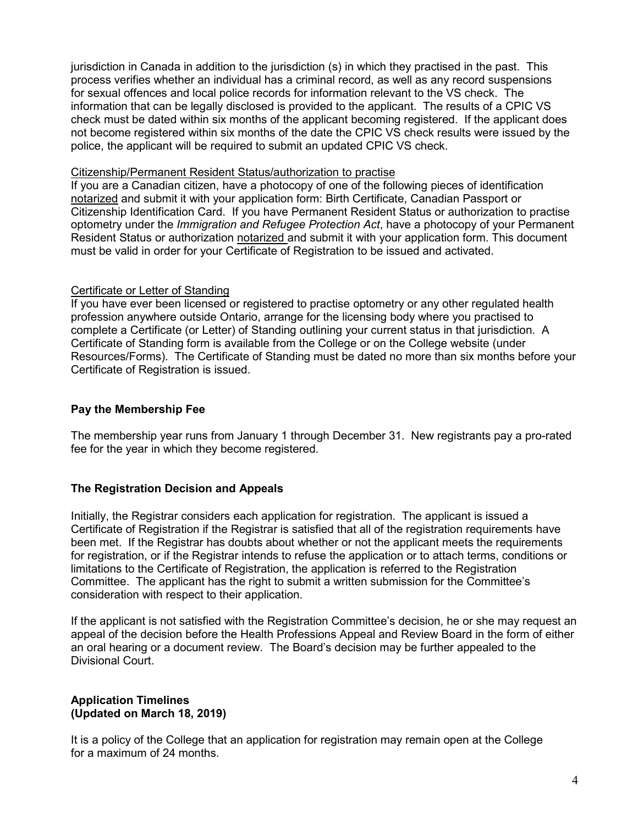jurisdiction in Canada in addition to the jurisdiction (s) in which they practised in the past. This process verifies whether an individual has a criminal record, as well as any record suspensions for sexual offences and local police records for information relevant to the VS check. The information that can be legally disclosed is provided to the applicant. The results of a CPIC VS check must be dated within six months of the applicant becoming registered. If the applicant does not become registered within six months of the date the CPIC VS check results were issued by the police, the applicant will be required to submit an updated CPIC VS check.

#### Citizenship/Permanent Resident Status/authorization to practise

If you are a Canadian citizen, have a photocopy of one of the following pieces of identification notarized and submit it with your application form: Birth Certificate, Canadian Passport or Citizenship Identification Card. If you have Permanent Resident Status or authorization to practise optometry under the *Immigration and Refugee Protection Act*, have a photocopy of your Permanent Resident Status or authorization notarized and submit it with your application form. This document must be valid in order for your Certificate of Registration to be issued and activated.

## Certificate or Letter of Standing

If you have ever been licensed or registered to practise optometry or any other regulated health profession anywhere outside Ontario, arrange for the licensing body where you practised to complete a Certificate (or Letter) of Standing outlining your current status in that jurisdiction. A Certificate of Standing form is available from the College or on the College website (under Resources/Forms). The Certificate of Standing must be dated no more than six months before your Certificate of Registration is issued.

## **Pay the Membership Fee**

The membership year runs from January 1 through December 31. New registrants pay a pro-rated fee for the year in which they become registered.

## **The Registration Decision and Appeals**

Initially, the Registrar considers each application for registration. The applicant is issued a Certificate of Registration if the Registrar is satisfied that all of the registration requirements have been met. If the Registrar has doubts about whether or not the applicant meets the requirements for registration, or if the Registrar intends to refuse the application or to attach terms, conditions or limitations to the Certificate of Registration, the application is referred to the Registration Committee. The applicant has the right to submit a written submission for the Committee's consideration with respect to their application.

If the applicant is not satisfied with the Registration Committee's decision, he or she may request an appeal of the decision before the Health Professions Appeal and Review Board in the form of either an oral hearing or a document review. The Board's decision may be further appealed to the Divisional Court.

#### **Application Timelines (Updated on March 18, 2019)**

It is a policy of the College that an application for registration may remain open at the College for a maximum of 24 months.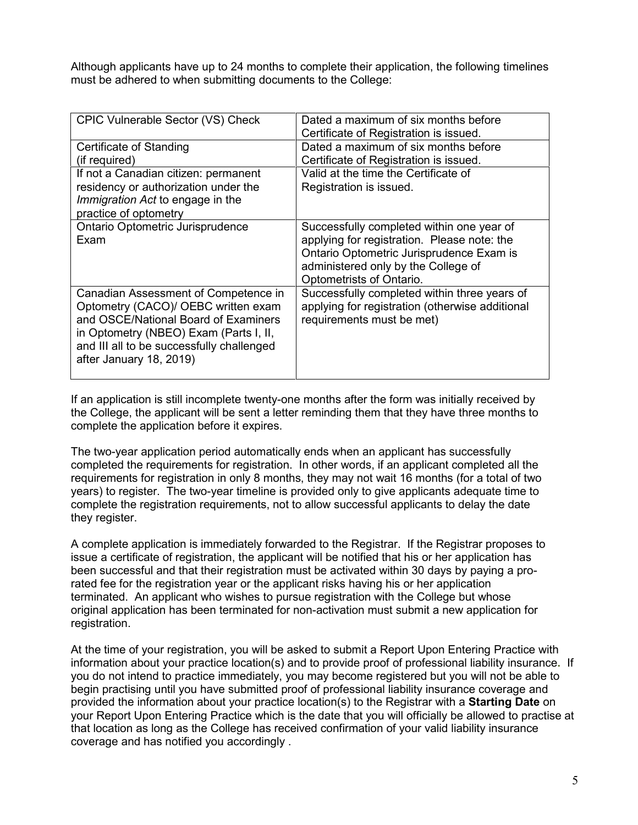Although applicants have up to 24 months to complete their application, the following timelines must be adhered to when submitting documents to the College:

| CPIC Vulnerable Sector (VS) Check         | Dated a maximum of six months before<br>Certificate of Registration is issued. |
|-------------------------------------------|--------------------------------------------------------------------------------|
| Certificate of Standing                   | Dated a maximum of six months before                                           |
| (if required)                             | Certificate of Registration is issued.                                         |
| If not a Canadian citizen: permanent      | Valid at the time the Certificate of                                           |
| residency or authorization under the      | Registration is issued.                                                        |
| Immigration Act to engage in the          |                                                                                |
| practice of optometry                     |                                                                                |
| Ontario Optometric Jurisprudence          | Successfully completed within one year of                                      |
| Exam                                      | applying for registration. Please note: the                                    |
|                                           | Ontario Optometric Jurisprudence Exam is                                       |
|                                           | administered only by the College of                                            |
|                                           | Optometrists of Ontario.                                                       |
| Canadian Assessment of Competence in      | Successfully completed within three years of                                   |
| Optometry (CACO)/ OEBC written exam       | applying for registration (otherwise additional                                |
| and OSCE/National Board of Examiners      | requirements must be met)                                                      |
| in Optometry (NBEO) Exam (Parts I, II,    |                                                                                |
| and III all to be successfully challenged |                                                                                |
| after January 18, 2019)                   |                                                                                |
|                                           |                                                                                |

If an application is still incomplete twenty-one months after the form was initially received by the College, the applicant will be sent a letter reminding them that they have three months to complete the application before it expires.

The two-year application period automatically ends when an applicant has successfully completed the requirements for registration. In other words, if an applicant completed all the requirements for registration in only 8 months, they may not wait 16 months (for a total of two years) to register. The two-year timeline is provided only to give applicants adequate time to complete the registration requirements, not to allow successful applicants to delay the date they register.

A complete application is immediately forwarded to the Registrar. If the Registrar proposes to issue a certificate of registration, the applicant will be notified that his or her application has been successful and that their registration must be activated within 30 days by paying a prorated fee for the registration year or the applicant risks having his or her application terminated. An applicant who wishes to pursue registration with the College but whose original application has been terminated for non-activation must submit a new application for registration.

At the time of your registration, you will be asked to submit a Report Upon Entering Practice with information about your practice location(s) and to provide proof of professional liability insurance**.** If you do not intend to practice immediately, you may become registered but you will not be able to begin practising until you have submitted proof of professional liability insurance coverage and provided the information about your practice location(s) to the Registrar with a **Starting Date** on your Report Upon Entering Practice which is the date that you will officially be allowed to practise at that location as long as the College has received confirmation of your valid liability insurance coverage and has notified you accordingly .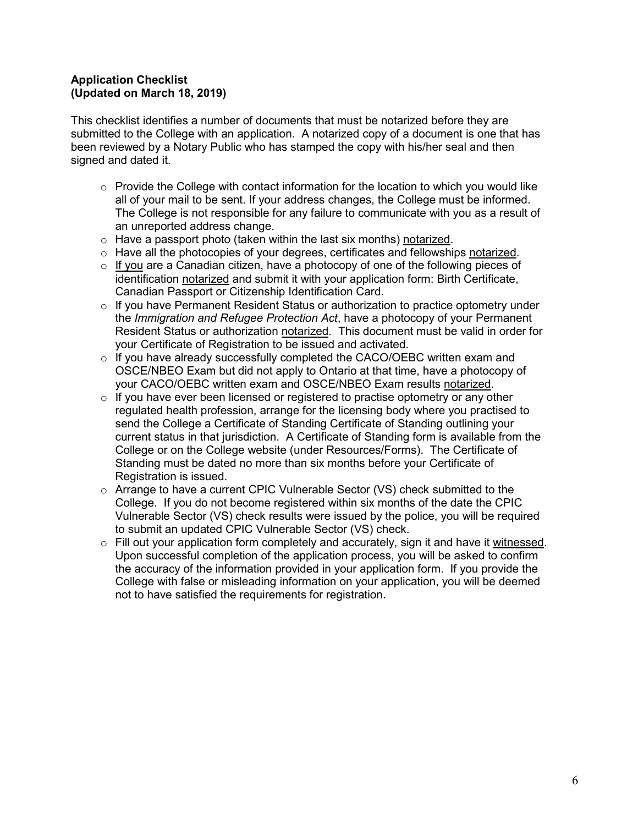### **Application Checklist (Updated on March 18, 2019)**

This checklist identifies a number of documents that must be notarized before they are submitted to the College with an application. A notarized copy of a document is one that has been reviewed by a Notary Public who has stamped the copy with his/her seal and then signed and dated it.

- $\circ$  Provide the College with contact information for the location to which you would like all of your mail to be sent. If your address changes, the College must be informed. The College is not responsible for any failure to communicate with you as a result of an unreported address change.
- $\circ$  Have a passport photo (taken within the last six months) notarized.
- o Have all the photocopies of your degrees, certificates and fellowships notarized.
- $\circ$  If you are a Canadian citizen, have a photocopy of one of the following pieces of identification notarized and submit it with your application form: Birth Certificate, Canadian Passport or Citizenship Identification Card.
- $\circ$  If you have Permanent Resident Status or authorization to practice optometry under the *Immigration and Refugee Protection Act*, have a photocopy of your Permanent Resident Status or authorization notarized. This document must be valid in order for your Certificate of Registration to be issued and activated.
- $\circ$  If you have already successfully completed the CACO/OEBC written exam and OSCE/NBEO Exam but did not apply to Ontario at that time, have a photocopy of your CACO/OEBC written exam and OSCE/NBEO Exam results notarized.
- $\circ$  If you have ever been licensed or registered to practise optometry or any other regulated health profession, arrange for the licensing body where you practised to send the College a Certificate of Standing Certificate of Standing outlining your current status in that jurisdiction. A Certificate of Standing form is available from the College or on the College website (under Resources/Forms). The Certificate of Standing must be dated no more than six months before your Certificate of Registration is issued.
- $\circ$  Arrange to have a current CPIC Vulnerable Sector (VS) check submitted to the College. If you do not become registered within six months of the date the CPIC Vulnerable Sector (VS) check results were issued by the police, you will be required to submit an updated CPIC Vulnerable Sector (VS) check.
- $\circ$  Fill out your application form completely and accurately, sign it and have it witnessed. Upon successful completion of the application process, you will be asked to confirm the accuracy of the information provided in your application form. If you provide the College with false or misleading information on your application, you will be deemed not to have satisfied the requirements for registration.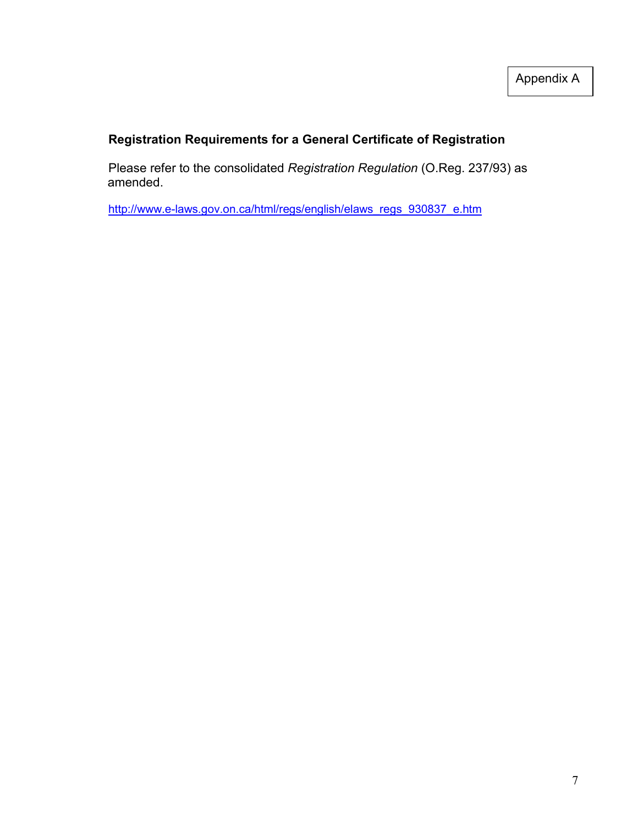# **Registration Requirements for a General Certificate of Registration**

Please refer to the consolidated *Registration Regulation* (O.Reg. 237/93) as amended.

[http://www.e-laws.gov.on.ca/html/regs/english/elaws\\_regs\\_930837\\_e.htm](http://www.e-laws.gov.on.ca/html/regs/english/elaws_regs_930837_e.htm)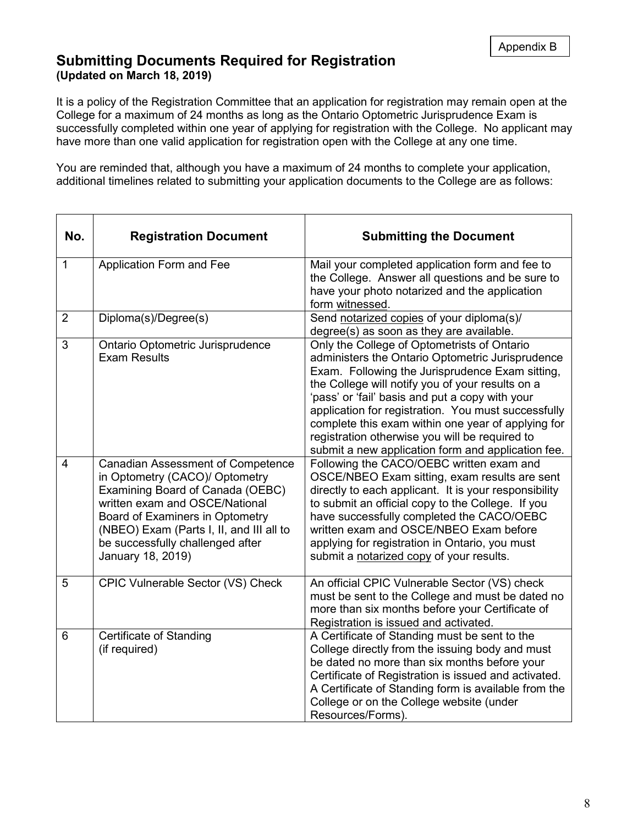## **Submitting Documents Required for Registration (Updated on March 18, 2019)**

It is a policy of the Registration Committee that an application for registration may remain open at the College for a maximum of 24 months as long as the Ontario Optometric Jurisprudence Exam is successfully completed within one year of applying for registration with the College. No applicant may have more than one valid application for registration open with the College at any one time.

You are reminded that, although you have a maximum of 24 months to complete your application, additional timelines related to submitting your application documents to the College are as follows:

| No.            | <b>Registration Document</b>                                                                                                                                                                                                                                                             | <b>Submitting the Document</b>                                                                                                                                                                                                                                                                                                                                                                                                                                                 |
|----------------|------------------------------------------------------------------------------------------------------------------------------------------------------------------------------------------------------------------------------------------------------------------------------------------|--------------------------------------------------------------------------------------------------------------------------------------------------------------------------------------------------------------------------------------------------------------------------------------------------------------------------------------------------------------------------------------------------------------------------------------------------------------------------------|
| $\mathbf{1}$   | Application Form and Fee                                                                                                                                                                                                                                                                 | Mail your completed application form and fee to<br>the College. Answer all questions and be sure to<br>have your photo notarized and the application<br>form witnessed.                                                                                                                                                                                                                                                                                                        |
| $\overline{2}$ | Diploma(s)/Degree(s)                                                                                                                                                                                                                                                                     | Send notarized copies of your diploma(s)/<br>degree(s) as soon as they are available.                                                                                                                                                                                                                                                                                                                                                                                          |
| 3              | Ontario Optometric Jurisprudence<br><b>Exam Results</b>                                                                                                                                                                                                                                  | Only the College of Optometrists of Ontario<br>administers the Ontario Optometric Jurisprudence<br>Exam. Following the Jurisprudence Exam sitting,<br>the College will notify you of your results on a<br>'pass' or 'fail' basis and put a copy with your<br>application for registration. You must successfully<br>complete this exam within one year of applying for<br>registration otherwise you will be required to<br>submit a new application form and application fee. |
| 4              | <b>Canadian Assessment of Competence</b><br>in Optometry (CACO)/ Optometry<br>Examining Board of Canada (OEBC)<br>written exam and OSCE/National<br>Board of Examiners in Optometry<br>(NBEO) Exam (Parts I, II, and III all to<br>be successfully challenged after<br>January 18, 2019) | Following the CACO/OEBC written exam and<br>OSCE/NBEO Exam sitting, exam results are sent<br>directly to each applicant. It is your responsibility<br>to submit an official copy to the College. If you<br>have successfully completed the CACO/OEBC<br>written exam and OSCE/NBEO Exam before<br>applying for registration in Ontario, you must<br>submit a notarized copy of your results.                                                                                   |
| 5              | CPIC Vulnerable Sector (VS) Check                                                                                                                                                                                                                                                        | An official CPIC Vulnerable Sector (VS) check<br>must be sent to the College and must be dated no<br>more than six months before your Certificate of<br>Registration is issued and activated.                                                                                                                                                                                                                                                                                  |
| 6              | <b>Certificate of Standing</b><br>(if required)                                                                                                                                                                                                                                          | A Certificate of Standing must be sent to the<br>College directly from the issuing body and must<br>be dated no more than six months before your<br>Certificate of Registration is issued and activated.<br>A Certificate of Standing form is available from the<br>College or on the College website (under<br>Resources/Forms).                                                                                                                                              |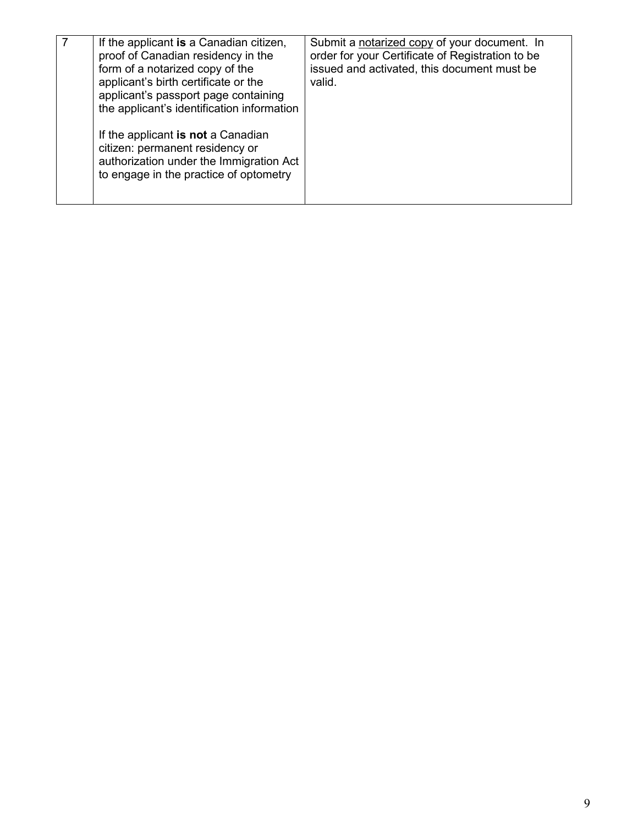| If the applicant is a Canadian citizen,<br>proof of Canadian residency in the<br>form of a notarized copy of the<br>applicant's birth certificate or the<br>applicant's passport page containing<br>the applicant's identification information | Submit a notarized copy of your document. In<br>order for your Certificate of Registration to be<br>issued and activated, this document must be<br>valid. |
|------------------------------------------------------------------------------------------------------------------------------------------------------------------------------------------------------------------------------------------------|-----------------------------------------------------------------------------------------------------------------------------------------------------------|
| If the applicant is not a Canadian<br>citizen: permanent residency or<br>authorization under the Immigration Act<br>to engage in the practice of optometry                                                                                     |                                                                                                                                                           |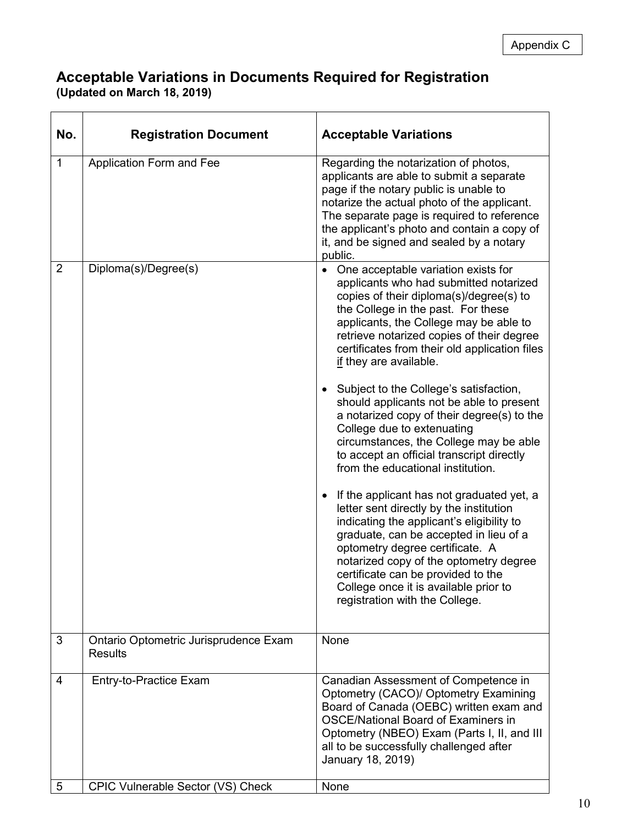## **Acceptable Variations in Documents Required for Registration (Updated on March 18, 2019)**

| No.            | <b>Registration Document</b>                            | <b>Acceptable Variations</b>                                                                                                                                                                                                                                                                                                                                                                                                                                                                                                                                                                                                                                                                                                                                                                                                                                                                                                                                                                                  |
|----------------|---------------------------------------------------------|---------------------------------------------------------------------------------------------------------------------------------------------------------------------------------------------------------------------------------------------------------------------------------------------------------------------------------------------------------------------------------------------------------------------------------------------------------------------------------------------------------------------------------------------------------------------------------------------------------------------------------------------------------------------------------------------------------------------------------------------------------------------------------------------------------------------------------------------------------------------------------------------------------------------------------------------------------------------------------------------------------------|
| 1              | Application Form and Fee                                | Regarding the notarization of photos,<br>applicants are able to submit a separate<br>page if the notary public is unable to<br>notarize the actual photo of the applicant.<br>The separate page is required to reference<br>the applicant's photo and contain a copy of<br>it, and be signed and sealed by a notary<br>public.                                                                                                                                                                                                                                                                                                                                                                                                                                                                                                                                                                                                                                                                                |
| $\overline{2}$ | Diploma(s)/Degree(s)                                    | • One acceptable variation exists for<br>applicants who had submitted notarized<br>copies of their diploma(s)/degree(s) to<br>the College in the past. For these<br>applicants, the College may be able to<br>retrieve notarized copies of their degree<br>certificates from their old application files<br>if they are available.<br>Subject to the College's satisfaction,<br>should applicants not be able to present<br>a notarized copy of their degree(s) to the<br>College due to extenuating<br>circumstances, the College may be able<br>to accept an official transcript directly<br>from the educational institution.<br>If the applicant has not graduated yet, a<br>letter sent directly by the institution<br>indicating the applicant's eligibility to<br>graduate, can be accepted in lieu of a<br>optometry degree certificate. A<br>notarized copy of the optometry degree<br>certificate can be provided to the<br>College once it is available prior to<br>registration with the College. |
| 3              | Ontario Optometric Jurisprudence Exam<br><b>Results</b> | None                                                                                                                                                                                                                                                                                                                                                                                                                                                                                                                                                                                                                                                                                                                                                                                                                                                                                                                                                                                                          |
| 4              | Entry-to-Practice Exam                                  | Canadian Assessment of Competence in<br>Optometry (CACO)/ Optometry Examining<br>Board of Canada (OEBC) written exam and<br><b>OSCE/National Board of Examiners in</b><br>Optometry (NBEO) Exam (Parts I, II, and III<br>all to be successfully challenged after<br>January 18, 2019)                                                                                                                                                                                                                                                                                                                                                                                                                                                                                                                                                                                                                                                                                                                         |
| 5              | CPIC Vulnerable Sector (VS) Check                       | None                                                                                                                                                                                                                                                                                                                                                                                                                                                                                                                                                                                                                                                                                                                                                                                                                                                                                                                                                                                                          |